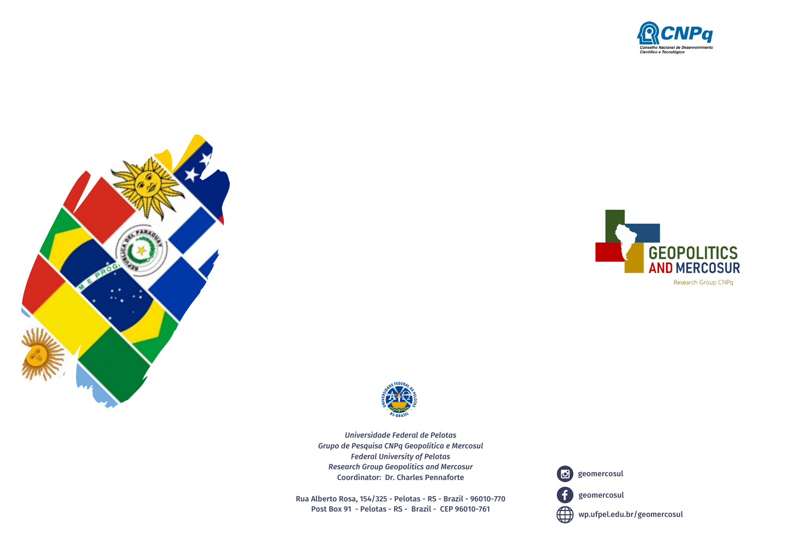







*Universidade Federal de Pelotas Grupo de Pesquisa CNPq Geopolítica e Mercosul Federal University of Pelotas Research Group Geopolitics and Mercosur* Coordinator: Dr. Charles Pennaforte

Rua Alberto Rosa, 154/325 - Pelotas - RS - Brazil - 96010-770 Post Box 91 - Pelotas - RS - Brazil - CEP 96010-761